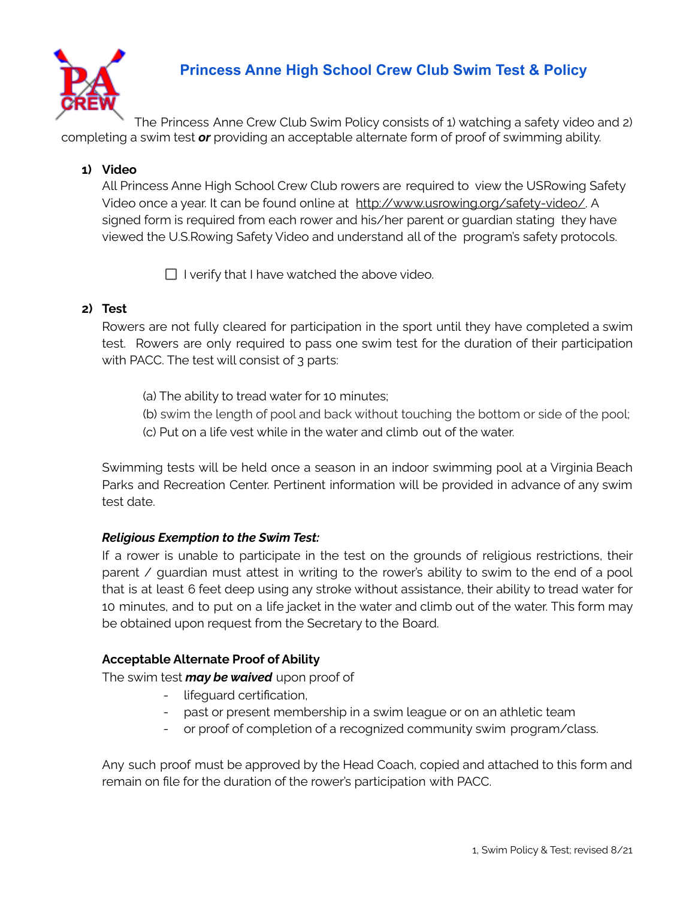

# **Princess Anne High School Crew Club Swim Test & Policy**

The Princess Anne Crew Club Swim Policy consists of 1) watching a safety video and 2) completing a swim test *or* providing an acceptable alternate form of proof of swimming ability.

## **1) Video**

All Princess Anne High School Crew Club rowers are required to view the USRowing Safety Video once a year. It can be found online at http://www.usrowing.org/safety-video/. A signed form is required from each rower and his/her parent or guardian stating they have viewed the U.S.Rowing Safety Video and understand all of the program's safety protocols.

 $\Box$  I verify that I have watched the above video.

## **2) Test**

Rowers are not fully cleared for participation in the sport until they have completed a swim test. Rowers are only required to pass one swim test for the duration of their participation with PACC. The test will consist of 3 parts:

- (a) The ability to tread water for 10 minutes;
- (b) swim the length of pool and back without touching the bottom or side of the pool;
- (c) Put on a life vest while in the water and climb out of the water.

Swimming tests will be held once a season in an indoor swimming pool at a Virginia Beach Parks and Recreation Center. Pertinent information will be provided in advance of any swim test date.

## *Religious Exemption to the Swim Test:*

If a rower is unable to participate in the test on the grounds of religious restrictions, their parent / guardian must attest in writing to the rower's ability to swim to the end of a pool that is at least 6 feet deep using any stroke without assistance, their ability to tread water for 10 minutes, and to put on a life jacket in the water and climb out of the water. This form may be obtained upon request from the Secretary to the Board.

#### **Acceptable Alternate Proof of Ability**

The swim test *may be waived* upon proof of

- lifeguard certification,
- past or present membership in a swim league or on an athletic team
- or proof of completion of a recognized community swim program/class.

Any such proof must be approved by the Head Coach, copied and attached to this form and remain on file for the duration of the rower's participation with PACC.